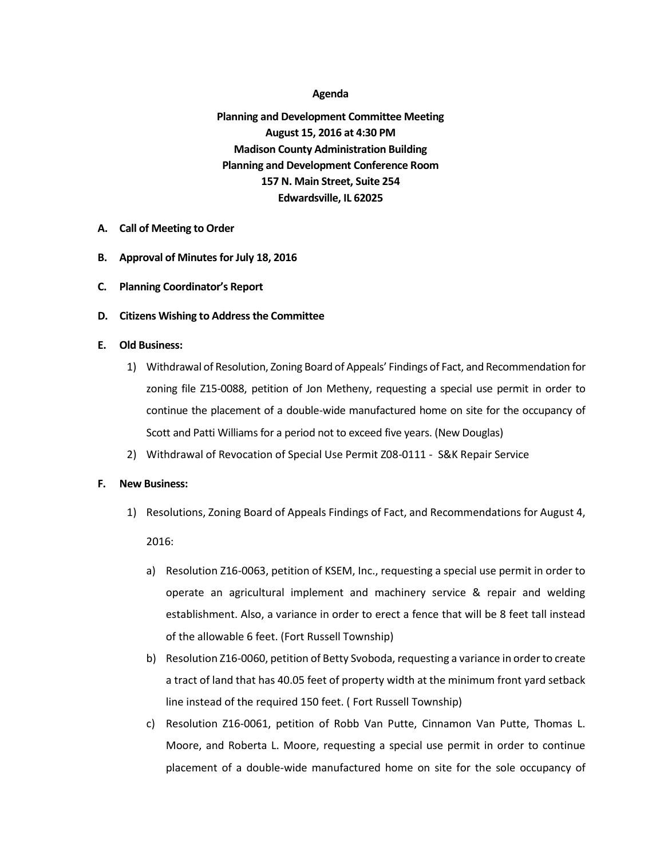## **Agenda**

**Planning and Development Committee Meeting August 15, 2016 at 4:30 PM Madison County Administration Building Planning and Development Conference Room 157 N. Main Street, Suite 254 Edwardsville, IL 62025**

- **A. Call of Meeting to Order**
- **B. Approval of Minutesfor July 18, 2016**
- **C. Planning Coordinator's Report**
- **D. Citizens Wishing to Address the Committee**
- **E. Old Business:**
	- 1) Withdrawal of Resolution, Zoning Board of Appeals' Findings of Fact, and Recommendation for zoning file Z15-0088, petition of Jon Metheny, requesting a special use permit in order to continue the placement of a double-wide manufactured home on site for the occupancy of Scott and Patti Williams for a period not to exceed five years. (New Douglas)
	- 2) Withdrawal of Revocation of Special Use Permit Z08-0111 S&K Repair Service

## **F. New Business:**

- 1) Resolutions, Zoning Board of Appeals Findings of Fact, and Recommendations for August 4, 2016:
	- a) Resolution Z16-0063, petition of KSEM, Inc., requesting a special use permit in order to operate an agricultural implement and machinery service & repair and welding establishment. Also, a variance in order to erect a fence that will be 8 feet tall instead of the allowable 6 feet. (Fort Russell Township)
	- b) Resolution Z16-0060, petition of Betty Svoboda, requesting a variance in order to create a tract of land that has 40.05 feet of property width at the minimum front yard setback line instead of the required 150 feet. ( Fort Russell Township)
	- c) Resolution Z16-0061, petition of Robb Van Putte, Cinnamon Van Putte, Thomas L. Moore, and Roberta L. Moore, requesting a special use permit in order to continue placement of a double-wide manufactured home on site for the sole occupancy of